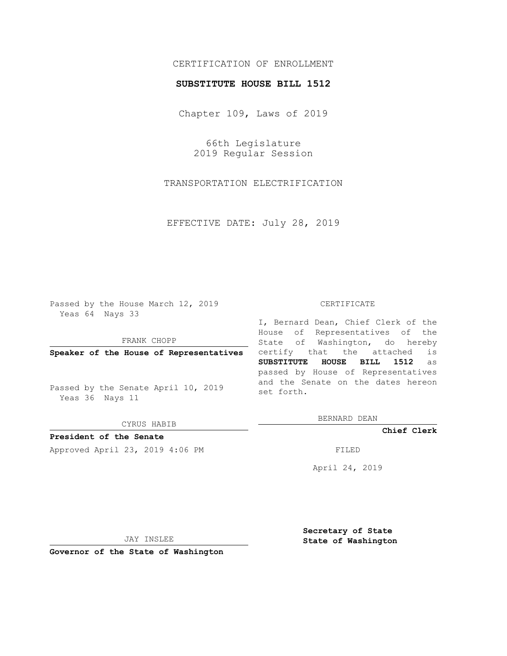# CERTIFICATION OF ENROLLMENT

### **SUBSTITUTE HOUSE BILL 1512**

Chapter 109, Laws of 2019

66th Legislature 2019 Regular Session

TRANSPORTATION ELECTRIFICATION

EFFECTIVE DATE: July 28, 2019

Passed by the House March 12, 2019 Yeas 64 Nays 33

FRANK CHOPP

**Speaker of the House of Representatives**

Passed by the Senate April 10, 2019 Yeas 36 Nays 11

CYRUS HABIB

**President of the Senate**

Approved April 23, 2019 4:06 PM FILED

#### CERTIFICATE

I, Bernard Dean, Chief Clerk of the House of Representatives of the State of Washington, do hereby certify that the attached is **SUBSTITUTE HOUSE BILL 1512** as passed by House of Representatives and the Senate on the dates hereon set forth.

BERNARD DEAN

**Chief Clerk**

April 24, 2019

JAY INSLEE

**Governor of the State of Washington**

**Secretary of State State of Washington**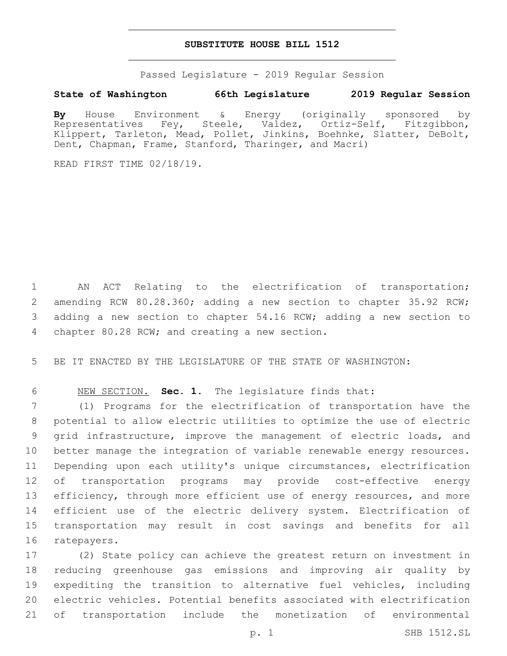### **SUBSTITUTE HOUSE BILL 1512**

Passed Legislature - 2019 Regular Session

## **State of Washington 66th Legislature 2019 Regular Session**

**By** House Environment & Energy (originally sponsored by Representatives Fey, Steele, Valdez, Ortiz-Self, Fitzgibbon, Klippert, Tarleton, Mead, Pollet, Jinkins, Boehnke, Slatter, DeBolt, Dent, Chapman, Frame, Stanford, Tharinger, and Macri)

READ FIRST TIME 02/18/19.

1 AN ACT Relating to the electrification of transportation; 2 amending RCW 80.28.360; adding a new section to chapter 35.92 RCW; 3 adding a new section to chapter 54.16 RCW; adding a new section to 4 chapter 80.28 RCW; and creating a new section.

5 BE IT ENACTED BY THE LEGISLATURE OF THE STATE OF WASHINGTON:

6 NEW SECTION. **Sec. 1.** The legislature finds that:

 (1) Programs for the electrification of transportation have the potential to allow electric utilities to optimize the use of electric grid infrastructure, improve the management of electric loads, and better manage the integration of variable renewable energy resources. Depending upon each utility's unique circumstances, electrification of transportation programs may provide cost-effective energy 13 efficiency, through more efficient use of energy resources, and more efficient use of the electric delivery system. Electrification of transportation may result in cost savings and benefits for all 16 ratepayers.

 (2) State policy can achieve the greatest return on investment in reducing greenhouse gas emissions and improving air quality by expediting the transition to alternative fuel vehicles, including electric vehicles. Potential benefits associated with electrification of transportation include the monetization of environmental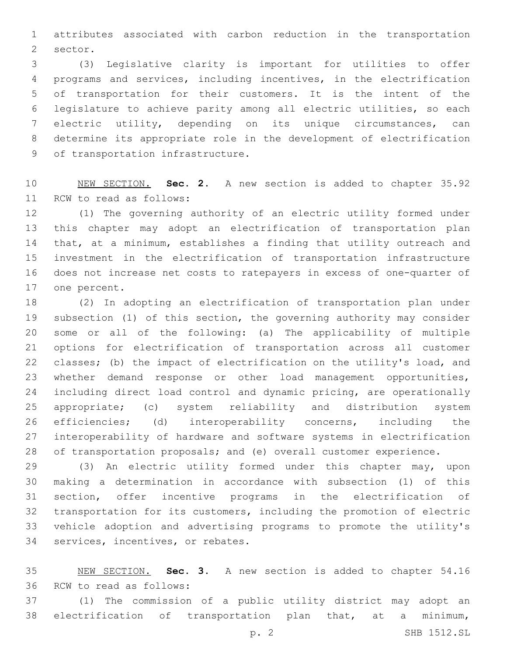attributes associated with carbon reduction in the transportation 2 sector.

 (3) Legislative clarity is important for utilities to offer programs and services, including incentives, in the electrification of transportation for their customers. It is the intent of the legislature to achieve parity among all electric utilities, so each electric utility, depending on its unique circumstances, can determine its appropriate role in the development of electrification 9 of transportation infrastructure.

 NEW SECTION. **Sec. 2.** A new section is added to chapter 35.92 11 RCW to read as follows:

 (1) The governing authority of an electric utility formed under this chapter may adopt an electrification of transportation plan that, at a minimum, establishes a finding that utility outreach and investment in the electrification of transportation infrastructure does not increase net costs to ratepayers in excess of one-quarter of 17 one percent.

 (2) In adopting an electrification of transportation plan under subsection (1) of this section, the governing authority may consider some or all of the following: (a) The applicability of multiple options for electrification of transportation across all customer classes; (b) the impact of electrification on the utility's load, and whether demand response or other load management opportunities, including direct load control and dynamic pricing, are operationally appropriate; (c) system reliability and distribution system efficiencies; (d) interoperability concerns, including the interoperability of hardware and software systems in electrification 28 of transportation proposals; and (e) overall customer experience.

 (3) An electric utility formed under this chapter may, upon making a determination in accordance with subsection (1) of this section, offer incentive programs in the electrification of transportation for its customers, including the promotion of electric vehicle adoption and advertising programs to promote the utility's 34 services, incentives, or rebates.

 NEW SECTION. **Sec. 3.** A new section is added to chapter 54.16 36 RCW to read as follows:

 (1) The commission of a public utility district may adopt an electrification of transportation plan that, at a minimum,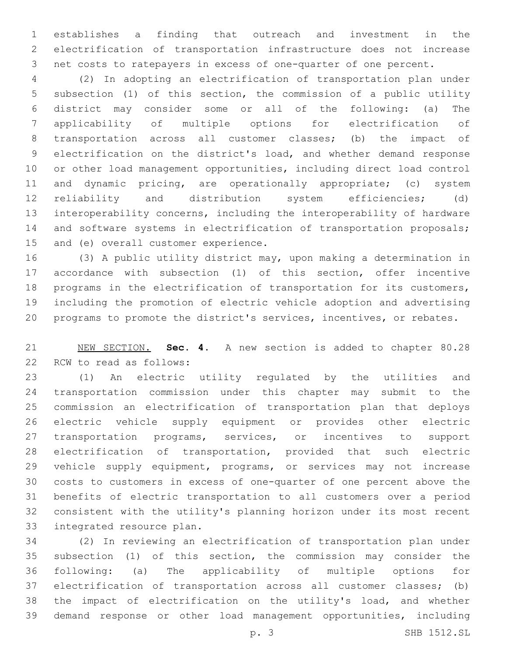establishes a finding that outreach and investment in the electrification of transportation infrastructure does not increase net costs to ratepayers in excess of one-quarter of one percent.

 (2) In adopting an electrification of transportation plan under subsection (1) of this section, the commission of a public utility district may consider some or all of the following: (a) The applicability of multiple options for electrification of transportation across all customer classes; (b) the impact of electrification on the district's load, and whether demand response or other load management opportunities, including direct load control 11 and dynamic pricing, are operationally appropriate; (c) system reliability and distribution system efficiencies; (d) interoperability concerns, including the interoperability of hardware and software systems in electrification of transportation proposals; 15 and (e) overall customer experience.

 (3) A public utility district may, upon making a determination in accordance with subsection (1) of this section, offer incentive programs in the electrification of transportation for its customers, including the promotion of electric vehicle adoption and advertising programs to promote the district's services, incentives, or rebates.

 NEW SECTION. **Sec. 4.** A new section is added to chapter 80.28 22 RCW to read as follows:

 (1) An electric utility regulated by the utilities and transportation commission under this chapter may submit to the commission an electrification of transportation plan that deploys electric vehicle supply equipment or provides other electric 27 transportation programs, services, or incentives to support electrification of transportation, provided that such electric vehicle supply equipment, programs, or services may not increase costs to customers in excess of one-quarter of one percent above the benefits of electric transportation to all customers over a period consistent with the utility's planning horizon under its most recent 33 integrated resource plan.

 (2) In reviewing an electrification of transportation plan under subsection (1) of this section, the commission may consider the following: (a) The applicability of multiple options for electrification of transportation across all customer classes; (b) the impact of electrification on the utility's load, and whether demand response or other load management opportunities, including

p. 3 SHB 1512.SL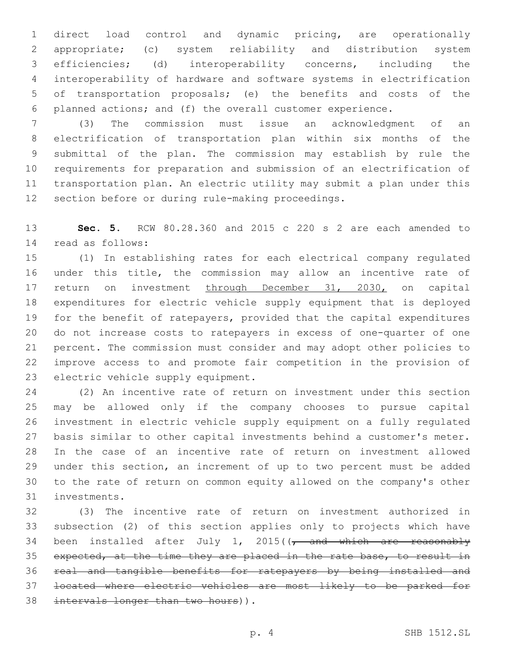direct load control and dynamic pricing, are operationally appropriate; (c) system reliability and distribution system efficiencies; (d) interoperability concerns, including the interoperability of hardware and software systems in electrification of transportation proposals; (e) the benefits and costs of the planned actions; and (f) the overall customer experience.

 (3) The commission must issue an acknowledgment of an electrification of transportation plan within six months of the submittal of the plan. The commission may establish by rule the requirements for preparation and submission of an electrification of transportation plan. An electric utility may submit a plan under this 12 section before or during rule-making proceedings.

 **Sec. 5.** RCW 80.28.360 and 2015 c 220 s 2 are each amended to read as follows:14

 (1) In establishing rates for each electrical company regulated under this title, the commission may allow an incentive rate of 17 return on investment through December 31, 2030, on capital expenditures for electric vehicle supply equipment that is deployed for the benefit of ratepayers, provided that the capital expenditures do not increase costs to ratepayers in excess of one-quarter of one percent. The commission must consider and may adopt other policies to improve access to and promote fair competition in the provision of 23 electric vehicle supply equipment.

 (2) An incentive rate of return on investment under this section may be allowed only if the company chooses to pursue capital investment in electric vehicle supply equipment on a fully regulated basis similar to other capital investments behind a customer's meter. In the case of an incentive rate of return on investment allowed under this section, an increment of up to two percent must be added to the rate of return on common equity allowed on the company's other 31 investments.

 (3) The incentive rate of return on investment authorized in subsection (2) of this section applies only to projects which have 34 been installed after July 1, 2015( $\sqrt{$  and which are reasonably expected, at the time they are placed in the rate base, to result in real and tangible benefits for ratepayers by being installed and located where electric vehicles are most likely to be parked for 38 intervals longer than two hours)).